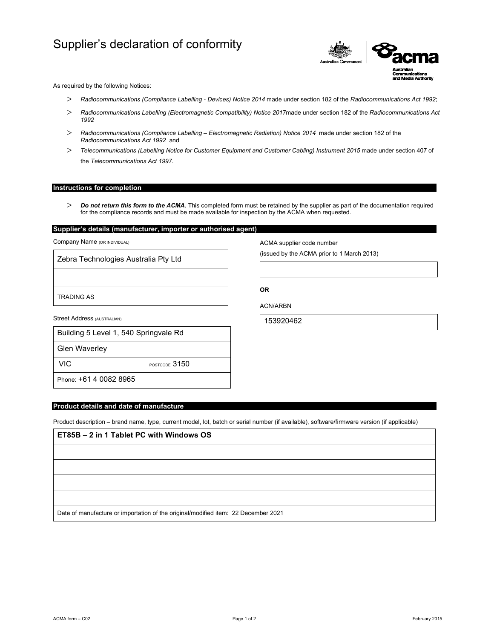# Supplier's declaration of conformity



As required by the following Notices:

- *Radiocommunications (Compliance Labelling Devices) Notice 2014* made under section 182 of the *Radiocommunications Act 1992*;
- *Radiocommunications Labelling (Electromagnetic Compatibility) Notice 2017*made under section 182 of the *Radiocommunications Act 1992*
- *Radiocommunications (Compliance Labelling Electromagnetic Radiation) Notice 2014* made under section 182 of the *Radiocommunications Act 1992* and
- *Telecommunications (Labelling Notice for Customer Equipment and Customer Cabling) Instrument 2015* made under section 407 of the *Telecommunications Act 1997*.

## **Instructions for completion**

 *Do not return this form to the ACMA*. This completed form must be retained by the supplier as part of the documentation required for the compliance records and must be made available for inspection by the ACMA when requested.

**OR** 

ACN/ARBN

153920462

ACMA supplier code number

(issued by the ACMA prior to 1 March 2013)

# **Supplier's details (manufacturer, importer or authorised agent)**

Company Name (OR INDIVIDUAL)

Zebra Technologies Australia Pty Ltd

TRADING AS

Street Address (AUSTRALIAN)

| Building 5 Level 1, 540 Springvale Rd |
|---------------------------------------|
|                                       |

Glen Waverley

VIC POSTCODE 3150

Phone: +61 4 0082 8965

# **Product details and date of manufacture**

Product description – brand name, type, current model, lot, batch or serial number (if available), software/firmware version (if applicable)

| ET85B - 2 in 1 Tablet PC with Windows OS                                           |  |  |
|------------------------------------------------------------------------------------|--|--|
|                                                                                    |  |  |
|                                                                                    |  |  |
|                                                                                    |  |  |
|                                                                                    |  |  |
| Date of manufacture or importation of the original/modified item: 22 December 2021 |  |  |